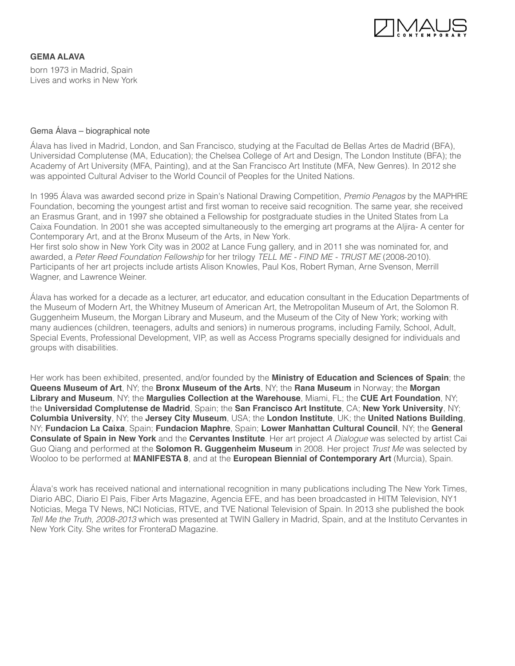

# **GEMA ALAVA**

born 1973 in Madrid, Spain Lives and works in New York

#### Gema Álava – biographical note

Álava has lived in Madrid, London, and San Francisco, studying at the Facultad de Bellas Artes de Madrid (BFA), Universidad Complutense (MA, Education); the Chelsea College of Art and Design, The London Institute (BFA); the Academy of Art University (MFA, Painting), and at the San Francisco Art Institute (MFA, New Genres). In 2012 she was appointed Cultural Adviser to the World Council of Peoples for the United Nations.

In 1995 Álava was awarded second prize in Spain's National Drawing Competition, *Premio Penagos* by the MAPHRE Foundation, becoming the youngest artist and first woman to receive said recognition. The same year, she received an Erasmus Grant, and in 1997 she obtained a Fellowship for postgraduate studies in the United States from La Caixa Foundation. In 2001 she was accepted simultaneously to the emerging art programs at the Aljira- A center for Contemporary Art, and at the Bronx Museum of the Arts, in New York.

Her first solo show in New York City was in 2002 at Lance Fung gallery, and in 2011 she was nominated for, and awarded, a *Peter Reed Foundation Fellowship* for her trilogy *TELL ME - FIND ME - TRUST ME* (2008-2010). Participants of her art projects include artists Alison Knowles, Paul Kos, Robert Ryman, Arne Svenson, Merrill Wagner, and Lawrence Weiner.

Álava has worked for a decade as a lecturer, art educator, and education consultant in the Education Departments of the Museum of Modern Art, the Whitney Museum of American Art, the Metropolitan Museum of Art, the Solomon R. Guggenheim Museum, the Morgan Library and Museum, and the Museum of the City of New York; working with many audiences (children, teenagers, adults and seniors) in numerous programs, including Family, School, Adult, Special Events, Professional Development, VIP, as well as Access Programs specially designed for individuals and groups with disabilities.

Her work has been exhibited, presented, and/or founded by the **Ministry of Education and Sciences of Spain**; the **Queens Museum of Art**, NY; the **Bronx Museum of the Arts**, NY; the **Rana Museum** in Norway; the **Morgan Library and Museum**, NY; the **Margulies Collection at the Warehouse**, Miami, FL; the **CUE Art Foundation**, NY; the **Universidad Complutense de Madrid**, Spain; the **San Francisco Art Institute**, CA; **New York University**, NY; **Columbia University**, NY; the **Jersey City Museum**, USA; the **London Institute**, UK; the **United Nations Building**, NY; **Fundacion La Caixa**, Spain; **Fundacion Maphre**, Spain; **Lower Manhattan Cultural Council**, NY; the **General Consulate of Spain in New York** and the **Cervantes Institute**. Her art project *A Dialogue* was selected by artist Cai Guo Qiang and performed at the **Solomon R. Guggenheim Museum** in 2008. Her project *Trust Me* was selected by Wooloo to be performed at **MANIFESTA 8**, and at the **European Biennial of Contemporary Art** (Murcia), Spain.

Álava's work has received national and international recognition in many publications including The New York Times, Diario ABC, Diario El Pais, Fiber Arts Magazine, Agencia EFE, and has been broadcasted in HITM Television, NY1 Noticias, Mega TV News, NCI Noticias, RTVE, and TVE National Television of Spain. In 2013 she published the book *Tell Me the Truth, 2008-2013* which was presented at TWIN Gallery in Madrid, Spain, and at the Instituto Cervantes in New York City. She writes for FronteraD Magazine.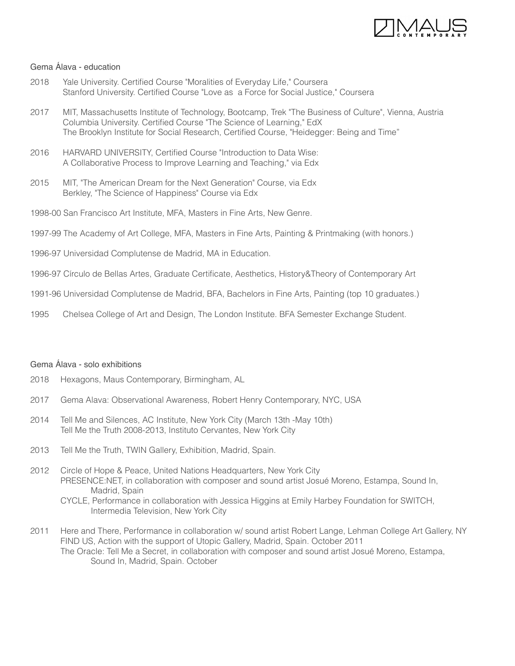

# Gema Álava - education

- 2018 Yale University. Certified Course "Moralities of Everyday Life," Coursera Stanford University. Certified Course "Love as a Force for Social Justice," Coursera
- 2017 MIT, Massachusetts Institute of Technology, Bootcamp, Trek "The Business of Culture", Vienna, Austria Columbia University. Certified Course "The Science of Learning," EdX The Brooklyn Institute for Social Research, Certified Course, "Heidegger: Being and Time"
- 2016 HARVARD UNIVERSITY, Certified Course "Introduction to Data Wise: A Collaborative Process to Improve Learning and Teaching," via Edx
- 2015 MIT, "The American Dream for the Next Generation" Course, via Edx Berkley, "The Science of Happiness" Course via Edx
- 1998-00 San Francisco Art Institute, MFA, Masters in Fine Arts, New Genre.
- 1997-99 The Academy of Art College, MFA, Masters in Fine Arts, Painting & Printmaking (with honors.)
- 1996-97 Universidad Complutense de Madrid, MA in Education.
- 1996-97 Círculo de Bellas Artes, Graduate Certificate, Aesthetics, History&Theory of Contemporary Art
- 1991-96 Universidad Complutense de Madrid, BFA, Bachelors in Fine Arts, Painting (top 10 graduates.)
- 1995 Chelsea College of Art and Design, The London Institute. BFA Semester Exchange Student.

# Gema Álava - solo exhibitions

- 2018 Hexagons, Maus Contemporary, Birmingham, AL
- 2017 Gema Alava: Observational Awareness, Robert Henry Contemporary, NYC, USA
- 2014 Tell Me and Silences, AC Institute, New York City (March 13th -May 10th) Tell Me the Truth 2008-2013, Instituto Cervantes, New York City
- 2013 Tell Me the Truth, TWIN Gallery, Exhibition, Madrid, Spain.
- 2012 Circle of Hope & Peace, United Nations Headquarters, New York City PRESENCE:NET, in collaboration with composer and sound artist Josué Moreno, Estampa, Sound In, Madrid, Spain
	- CYCLE, Performance in collaboration with Jessica Higgins at Emily Harbey Foundation for SWITCH, Intermedia Television, New York City
- 2011 Here and There, Performance in collaboration w/ sound artist Robert Lange, Lehman College Art Gallery, NY FIND US, Action with the support of Utopic Gallery, Madrid, Spain. October 2011 The Oracle: Tell Me a Secret, in collaboration with composer and sound artist Josué Moreno, Estampa, Sound In, Madrid, Spain. October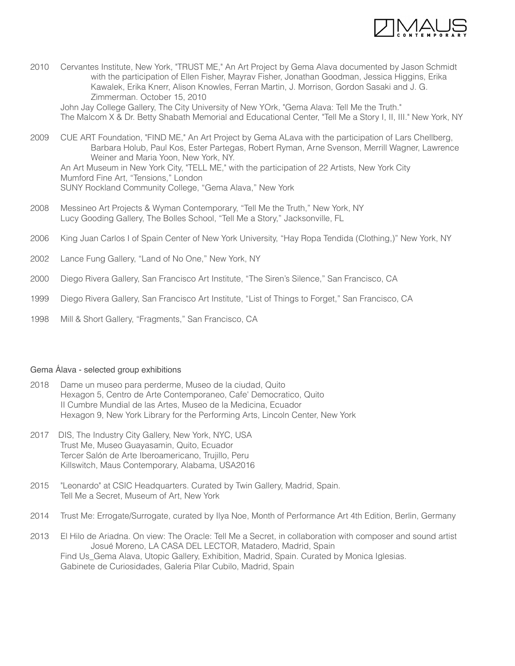

2010 Cervantes Institute, New York, "TRUST ME," An Art Project by Gema Alava documented by Jason Schmidt with the participation of Ellen Fisher, Mayrav Fisher, Jonathan Goodman, Jessica Higgins, Erika Kawalek, Erika Knerr, Alison Knowles, Ferran Martin, J. Morrison, Gordon Sasaki and J. G. Zimmerman. October 15, 2010

 John Jay College Gallery, The City University of New YOrk, "Gema Alava: Tell Me the Truth." The Malcom X & Dr. Betty Shabath Memorial and Educational Center, "Tell Me a Story I, II, III." New York, NY

- 2009 CUE ART Foundation, "FIND ME," An Art Project by Gema ALava with the participation of Lars Chellberg, Barbara Holub, Paul Kos, Ester Partegas, Robert Ryman, Arne Svenson, Merrill Wagner, Lawrence Weiner and Maria Yoon, New York, NY. An Art Museum in New York City, "TELL ME," with the participation of 22 Artists, New York City Mumford Fine Art, "Tensions," London SUNY Rockland Community College, "Gema Alava," New York
- 2008 Messineo Art Projects & Wyman Contemporary, "Tell Me the Truth," New York, NY Lucy Gooding Gallery, The Bolles School, "Tell Me a Story," Jacksonville, FL
- 2006 King Juan Carlos I of Spain Center of New York University, "Hay Ropa Tendida (Clothing,)" New York, NY
- 2002 Lance Fung Gallery, "Land of No One," New York, NY
- 2000 Diego Rivera Gallery, San Francisco Art Institute, "The Siren's Silence," San Francisco, CA
- 1999 Diego Rivera Gallery, San Francisco Art Institute, "List of Things to Forget," San Francisco, CA
- 1998 Mill & Short Gallery, "Fragments," San Francisco, CA

## Gema Álava - selected group exhibitions

- 2018 Dame un museo para perderme, Museo de la ciudad, Quito Hexagon 5, Centro de Arte Contemporaneo, Cafe' Democratico, Quito II Cumbre Mundial de las Artes, Museo de la Medicina, Ecuador Hexagon 9, New York Library for the Performing Arts, Lincoln Center, New York
- 2017 DIS, The Industry City Gallery, New York, NYC, USA Trust Me, Museo Guayasamin, Quito, Ecuador Tercer Salón de Arte Iberoamericano, Trujillo, Peru Killswitch, Maus Contemporary, Alabama, USA2016
- 2015 "Leonardo" at CSIC Headquarters. Curated by Twin Gallery, Madrid, Spain. Tell Me a Secret, Museum of Art, New York
- 2014 Trust Me: Errogate/Surrogate, curated by Ilya Noe, Month of Performance Art 4th Edition, Berlin, Germany
- 2013 El Hilo de Ariadna. On view: The Oracle: Tell Me a Secret, in collaboration with composer and sound artist Josué Moreno, LA CASA DEL LECTOR, Matadero, Madrid, Spain Find Us\_Gema Alava, Utopic Gallery, Exhibition, Madrid, Spain. Curated by Monica Iglesias. Gabinete de Curiosidades, Galeria Pilar Cubilo, Madrid, Spain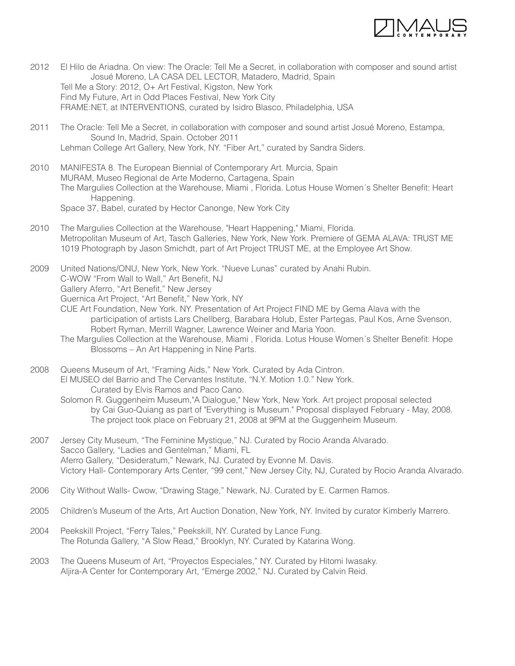

- 2012 El Hilo de Ariadna. On view: The Oracle: Tell Me a Secret, in collaboration with composer and sound artist Josué Moreno, LA CASA DEL LECTOR, Matadero, Madrid, Spain Tell Me a Story: 2012, O+ Art Festival, Kigston, New York Find My Future, Art in Odd Places Festival, New York City FRAME:NET, at INTERVENTIONS, curated by Isidro Blasco, Philadelphia, USA
- 2011 The Oracle: Tell Me a Secret, in collaboration with composer and sound artist Josué Moreno, Estampa, Sound In, Madrid, Spain. October 2011 Lehman College Art Gallery, New York, NY. "Fiber Art," curated by Sandra Siders.
- 2010 MANIFESTA 8. The European Biennial of Contemporary Art. Murcia, Spain MURAM, Museo Regional de Arte Moderno, Cartagena, Spain The Margulies Collection at the Warehouse, Miami , Florida. Lotus House Women´s Shelter Benefit: Heart Happening.
	- Space 37, Babel, curated by Hector Canonge, New York City
- 2010 The Margulies Collection at the Warehouse, "Heart Happening," Miami, Florida. Metropolitan Museum of Art, Tasch Galleries, New York, New York. Premiere of GEMA ALAVA: TRUST ME 1019 Photograph by Jason Smichdt, part of Art Project TRUST ME, at the Employee Art Show.

2009 United Nations/ONU, New York, New York. "Nueve Lunas" curated by Anahi Rubin. C-WOW "From Wall to Wall," Art Benefit, NJ Gallery Aferro, "Art Benefit," New Jersey Guernica Art Project, "Art Benefit," New York, NY CUE Art Foundation, New York. NY. Presentation of Art Project FIND ME by Gema Alava with the

- participation of artists Lars Chellberg, Barabara Holub, Ester Partegas, Paul Kos, Arne Svenson, Robert Ryman, Merrill Wagner, Lawrence Weiner and Maria Yoon.
- The Margulies Collection at the Warehouse, Miami , Florida. Lotus House Women´s Shelter Benefit: Hope Blossoms – An Art Happening in Nine Parts.
- 2008 Queens Museum of Art, "Framing Aids," New York. Curated by Ada Cintron. El MUSEO del Barrio and The Cervantes Institute, "N.Y. Motion 1.0." New York. Curated by Elvis Ramos and Paco Cano.
	- Solomon R. Guggenheim Museum,"A Dialogue," New York, New York. Art project proposal selected by Cai Guo-Quiang as part of "Everything is Museum." Proposal displayed February - May, 2008. The project took place on February 21, 2008 at 9PM at the Guggenheim Museum.
- 2007 Jersey City Museum, "The Feminine Mystique," NJ. Curated by Rocio Aranda Alvarado. Sacco Gallery, "Ladies and Gentelman," Miami, FL Aferro Gallery, "Desideratum," Newark, NJ. Curated by Evonne M. Davis. Victory Hall- Contemporary Arts Center, "99 cent," New Jersey City, NJ, Curated by Rocio Aranda Alvarado.
- 2006 City Without Walls- Cwow, "Drawing Stage," Newark, NJ. Curated by E. Carmen Ramos.
- 2005 Children's Museum of the Arts, Art Auction Donation, New York, NY. Invited by curator Kimberly Marrero.
- 2004 Peekskill Project, "Ferry Tales," Peekskill, NY. Curated by Lance Fung. The Rotunda Gallery, "A Slow Read," Brooklyn, NY. Curated by Katarina Wong.
- 2003 The Queens Museum of Art, "Proyectos Especiales," NY. Curated by Hitomi Iwasaky. Aljira-A Center for Contemporary Art, "Emerge 2002," NJ. Curated by Calvin Reid.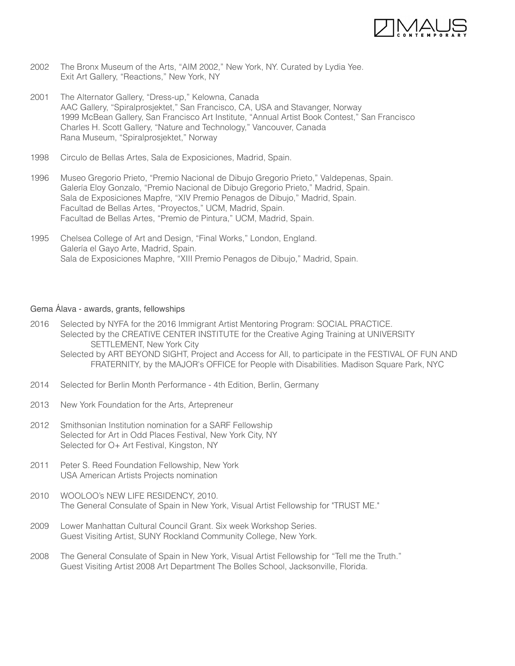

- 2002 The Bronx Museum of the Arts, "AIM 2002," New York, NY. Curated by Lydia Yee. Exit Art Gallery, "Reactions," New York, NY
- 2001 The Alternator Gallery, "Dress-up," Kelowna, Canada AAC Gallery, "Spiralprosjektet," San Francisco, CA, USA and Stavanger, Norway 1999 McBean Gallery, San Francisco Art Institute, "Annual Artist Book Contest," San Francisco Charles H. Scott Gallery, "Nature and Technology," Vancouver, Canada Rana Museum, "Spiralprosjektet," Norway
- 1998 Circulo de Bellas Artes, Sala de Exposiciones, Madrid, Spain.
- 1996 Museo Gregorio Prieto, "Premio Nacional de Dibujo Gregorio Prieto," Valdepenas, Spain. Galería Eloy Gonzalo, "Premio Nacional de Dibujo Gregorio Prieto," Madrid, Spain. Sala de Exposiciones Mapfre, "XIV Premio Penagos de Dibujo," Madrid, Spain. Facultad de Bellas Artes, "Proyectos," UCM, Madrid, Spain. Facultad de Bellas Artes, "Premio de Pintura," UCM, Madrid, Spain.
- 1995 Chelsea College of Art and Design, "Final Works," London, England. Galería el Gayo Arte, Madrid, Spain. Sala de Exposiciones Maphre, "XIII Premio Penagos de Dibujo," Madrid, Spain.

#### Gema Álava - awards, grants, fellowships

- 2016 Selected by NYFA for the 2016 Immigrant Artist Mentoring Program: SOCIAL PRACTICE. Selected by the CREATIVE CENTER INSTITUTE for the Creative Aging Training at UNIVERSITY SETTLEMENT, New York City
	- Selected by ART BEYOND SIGHT, Project and Access for All, to participate in the FESTIVAL OF FUN AND FRATERNITY, by the MAJOR's OFFICE for People with Disabilities. Madison Square Park, NYC
- 2014 Selected for Berlin Month Performance 4th Edition, Berlin, Germany
- 2013 New York Foundation for the Arts, Artepreneur
- 2012 Smithsonian Institution nomination for a SARF Fellowship Selected for Art in Odd Places Festival, New York City, NY Selected for O+ Art Festival, Kingston, NY
- 2011 Peter S. Reed Foundation Fellowship, New York USA American Artists Projects nomination
- 2010 WOOLOO's NEW LIFE RESIDENCY, 2010. The General Consulate of Spain in New York, Visual Artist Fellowship for "TRUST ME."
- 2009 Lower Manhattan Cultural Council Grant. Six week Workshop Series. Guest Visiting Artist, SUNY Rockland Community College, New York.
- 2008 The General Consulate of Spain in New York, Visual Artist Fellowship for "Tell me the Truth." Guest Visiting Artist 2008 Art Department The Bolles School, Jacksonville, Florida.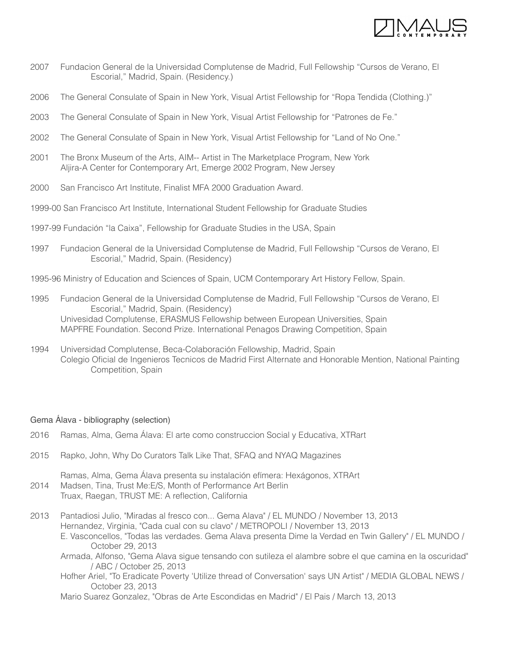

- 2007 Fundacion General de la Universidad Complutense de Madrid, Full Fellowship "Cursos de Verano, El Escorial," Madrid, Spain. (Residency.)
- 2006 The General Consulate of Spain in New York, Visual Artist Fellowship for "Ropa Tendida (Clothing.)"
- 2003 The General Consulate of Spain in New York, Visual Artist Fellowship for "Patrones de Fe."
- 2002 The General Consulate of Spain in New York, Visual Artist Fellowship for "Land of No One."
- 2001 The Bronx Museum of the Arts, AIM-- Artist in The Marketplace Program, New York Aljira-A Center for Contemporary Art, Emerge 2002 Program, New Jersey
- 2000 San Francisco Art Institute, Finalist MFA 2000 Graduation Award.
- 1999-00 San Francisco Art Institute, International Student Fellowship for Graduate Studies
- 1997-99 Fundación "la Caixa", Fellowship for Graduate Studies in the USA, Spain
- 1997 Fundacion General de la Universidad Complutense de Madrid, Full Fellowship "Cursos de Verano, El Escorial," Madrid, Spain. (Residency)
- 1995-96 Ministry of Education and Sciences of Spain, UCM Contemporary Art History Fellow, Spain.
- 1995 Fundacion General de la Universidad Complutense de Madrid, Full Fellowship "Cursos de Verano, El Escorial," Madrid, Spain. (Residency) Univesidad Complutense, ERASMUS Fellowship between European Universities, Spain MAPFRE Foundation. Second Prize. International Penagos Drawing Competition, Spain
- 1994 Universidad Complutense, Beca-Colaboración Fellowship, Madrid, Spain Colegio Oficial de Ingenieros Tecnicos de Madrid First Alternate and Honorable Mention, National Painting Competition, Spain

#### Gema Álava - bibliography (selection)

- 2016 Ramas, Alma, Gema Álava: El arte como construccion Social y Educativa, XTRart
- 2015 Rapko, John, Why Do Curators Talk Like That, SFAQ and NYAQ Magazines
- Ramas, Alma, Gema Álava presenta su instalación efímera: Hexágonos, XTRArt 2014 Madsen, Tina, Trust Me:E/S, Month of Performance Art Berlin Truax, Raegan, TRUST ME: A reflection, California
- 2013 Pantadiosi Julio, "Miradas al fresco con... Gema Alava" / EL MUNDO / November 13, 2013 Hernandez, Virginia, "Cada cual con su clavo" / METROPOLI / November 13, 2013 E. Vasconcellos, "Todas las verdades. Gema Alava presenta Dime la Verdad en Twin Gallery" / EL MUNDO / October 29, 2013
	- Armada, Alfonso, "Gema Alava sigue tensando con sutileza el alambre sobre el que camina en la oscuridad" / ABC / October 25, 2013
	- Hofher Ariel, "To Eradicate Poverty 'Utilize thread of Conversation' says UN Artist" / MEDIA GLOBAL NEWS / October 23, 2013

Mario Suarez Gonzalez, "Obras de Arte Escondidas en Madrid" / El Pais / March 13, 2013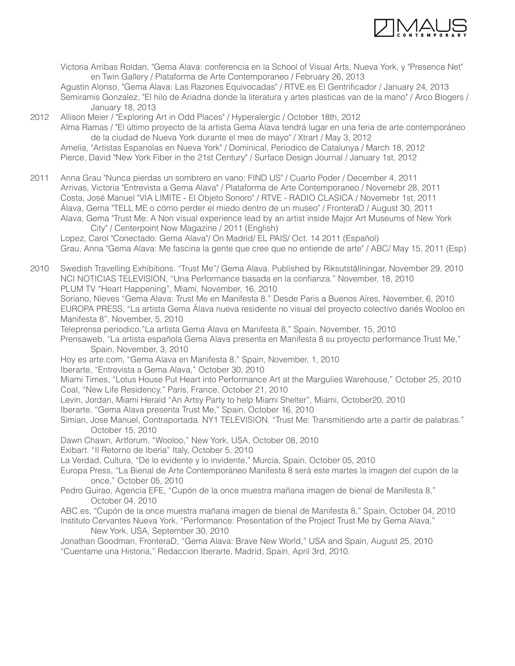

 Victoria Arribas Roldan, "Gema Alava: conferencia en la School of Visual Arts, Nueva York, y "Presence Net" en Twin Gallery / Plataforma de Arte Contemporaneo / February 26, 2013 Agustin Alonso, "Gema Alava: Las Razones Equivocadas" / RTVE.es El Gentrificador / January 24, 2013

 Semiramis Gonzalez, "El hilo de Ariadna donde la literatura y artes plasticas van de la mano" / Arco Blogers / January 18, 2013

2012 Allison Meier / "Exploring Art in Odd Places" / Hyperalergic / October 18th, 2012 Alma Ramas / "El último proyecto de la artista Gema Álava tendrá lugar en una feria de arte contemporáneo de la ciudad de Nueva York durante el mes de mayo" / Xtrart / May 3, 2012 Amelia, "Artistas Espanolas en Nueva York" / Dominical, Periodico de Catalunya / March 18, 2012 Pierce, David "New York Fiber in the 21st Century" / Surface Design Journal / January 1st, 2012

2011 Anna Grau "Nunca pierdas un sombrero en vano: FIND US" / Cuarto Poder / December 4, 2011 Arrivas, Victoria "Entrevista a Gema Alava" / Plataforma de Arte Contemporaneo / Novemebr 28, 2011 Costa, José Manuel "VIA LIMITE - El Objeto Sonoro" / RTVE - RADIO CLASICA / Novemebr 1st, 2011 Álava, Gema "TELL ME o cómo perder el miedo dentro de un museo" / FronteraD / August 30, 2011 Alava, Gema "Trust Me: A Non visual experience lead by an artist inside Major Art Museums of New York City" / Centerpoint Now Magazine / 2011 (English) Lopez, Carol "Conectado: Gema Alava"/ On Madrid/ EL PAIS/ Oct. 14 2011 (Español) Grau, Anna "Gema Alava: Me fascina la gente que cree que no entiende de arte" / ABC/ May 15, 2011 (Esp)

2010 Swedish Travelling Exhibitions. "Trust Me"/ Gema Alava. Published by Riksutställningar, November 29, 2010 NCI NOTICIAS TELEVISION, "Una Performance basada en la confianza." November, 18, 2010

PLUM TV "Heart Happening", Miami, November, 16, 2010

 Soriano, Nieves "Gema Alava: Trust Me en Manifesta 8." Desde Paris a Buenos Aires, November, 6, 2010 EUROPA PRESS, "La artista Gema Álava nueva residente no visual del proyecto colectivo danés Wooloo en Manifesta 8", November, 5, 2010

Teleprensa periodico,"La artista Gema Alava en Manifesta 8," Spain, November, 15, 2010

 Prensaweb, "La artista española Gema Alava presenta en Manifesta 8 su proyecto performance Trust Me," Spain, November, 3, 2010

Hoy es arte.com, "Gema Alava en Manifesta 8," Spain, November, 1, 2010

Iberarte, "Entrevista a Gema Alava," October 30, 2010

 Miami Times, "Lotus House Put Heart into Performance Art at the Margulies Warehouse," October 25, 2010 Coal, "New Life Residency," Paris, France, October 21, 2010

Levin, Jordan, Miami Herald "An Artsy Party to help Miami Shelter", Miami, October20, 2010

Iberarte, "Gema Alava presenta Trust Me," Spain, October 16, 2010

- Simian, Jose Manuel, Contraportada. NY1 TELEVISION. "Trust Me: Transmitiendo arte a partir de palabras." October 15, 2010
- Dawn Chawn, Artforum, "Wooloo," New York, USA, October 08, 2010

Exibart. "Il Retorno de Iberia" Italy, October 5, 2010

La Verdad, Cultura, "De lo evidente y lo invidente," Murcia, Spain, October 05, 2010

 Europa Press, "La Bienal de Arte Contemporáneo Manifesta 8 será este martes la imagen del cupón de la once," October 05, 2010

 Pedro Guirao, Agencia EFE, "Cupón de la once muestra mañana imagen de bienal de Manifesta 8," October 04, 2010

ABC.es, "Cupón de la once muestra mañana imagen de bienal de Manifesta 8," Spain, October 04, 2010

 Instituto Cervantes Nueva York, "Performance: Presentation of the Project Trust Me by Gema Alava," New York, USA, September 30, 2010

 Jonathan Goodman, FronteraD, "Gema Alava: Brave New World," USA and Spain, August 25, 2010 "Cuentame una Historia," Redaccion Iberarte, Madrid, Spain, April 3rd, 2010.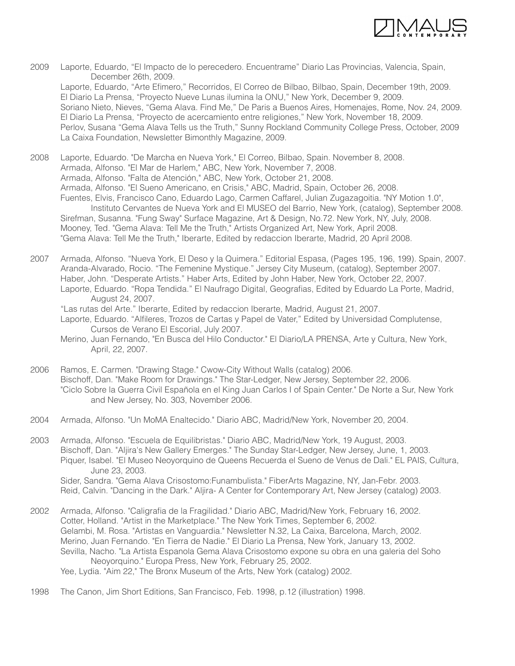

- 2009 Laporte, Eduardo, "El Impacto de lo perecedero. Encuentrame" Diario Las Provincias, Valencia, Spain, December 26th, 2009. Laporte, Eduardo, "Arte Efimero," Recorridos, El Correo de Bilbao, Bilbao, Spain, December 19th, 2009. El Diario La Prensa, "Proyecto Nueve Lunas ilumina la ONU," New York, December 9, 2009. Soriano Nieto, Nieves, "Gema Alava. Find Me," De Paris a Buenos Aires, Homenajes, Rome, Nov. 24, 2009. El Diario La Prensa, "Proyecto de acercamiento entre religiones," New York, November 18, 2009. Perlov, Susana "Gema Alava Tells us the Truth," Sunny Rockland Community College Press, October, 2009 La Caixa Foundation, Newsletter Bimonthly Magazine, 2009.
- 2008 Laporte, Eduardo. "De Marcha en Nueva York," El Correo, Bilbao, Spain. November 8, 2008. Armada, Alfonso. "El Mar de Harlem," ABC, New York, November 7, 2008. Armada, Alfonso. "Falta de Atención," ABC, New York, October 21, 2008. Armada, Alfonso. "El Sueno Americano, en Crisis," ABC, Madrid, Spain, October 26, 2008. Fuentes, Elvis, Francisco Cano, Eduardo Lago, Carmen Caffarel, Julian Zugazagoitia. "NY Motion 1.0", Instituto Cervantes de Nueva York and El MUSEO del Barrio, New York, (catalog), September 2008. Sirefman, Susanna. "Fung Sway" Surface Magazine, Art & Design, No.72. New York, NY, July, 2008. Mooney, Ted. "Gema Alava: Tell Me the Truth," Artists Organized Art, New York, April 2008. "Gema Alava: Tell Me the Truth," Iberarte, Edited by redaccion Iberarte, Madrid, 20 April 2008.
- 2007 Armada, Alfonso. "Nueva York, El Deso y la Quimera." Editorial Espasa, (Pages 195, 196, 199). Spain, 2007. Aranda-Alvarado, Rocio. "The Femenine Mystique." Jersey City Museum, (catalog), September 2007. Haber, John. "Desperate Artists." Haber Arts, Edited by John Haber, New York, October 22, 2007. Laporte, Eduardo. "Ropa Tendida." El Naufrago Digital, Geografias, Edited by Eduardo La Porte, Madrid, August 24, 2007.
	- "Las rutas del Arte." Iberarte, Edited by redaccion Iberarte, Madrid, August 21, 2007.
	- Laporte, Eduardo. "Alfileres, Trozos de Cartas y Papel de Vater," Edited by Universidad Complutense, Cursos de Verano El Escorial, July 2007.
	- Merino, Juan Fernando, "En Busca del Hilo Conductor." El Diario/LA PRENSA, Arte y Cultura, New York, April, 22, 2007.
- 2006 Ramos, E. Carmen. "Drawing Stage." Cwow-City Without Walls (catalog) 2006. Bischoff, Dan. "Make Room for Drawings." The Star-Ledger, New Jersey, September 22, 2006. "Ciclo Sobre la Guerra Civil Española en el King Juan Carlos I of Spain Center." De Norte a Sur, New York and New Jersey, No. 303, November 2006.
- 2004 Armada, Alfonso. "Un MoMA Enaltecido." Diario ABC, Madrid/New York, November 20, 2004.
- 2003 Armada, Alfonso. "Escuela de Equilibristas." Diario ABC, Madrid/New York, 19 August, 2003. Bischoff, Dan. "Aljira's New Gallery Emerges." The Sunday Star-Ledger, New Jersey, June, 1, 2003. Piquer, Isabel. "El Museo Neoyorquino de Queens Recuerda el Sueno de Venus de Dali." EL PAIS, Cultura, June 23, 2003. Sider, Sandra. "Gema Alava Crisostomo:Funambulista." FiberArts Magazine, NY, Jan-Febr. 2003.

Reid, Calvin. "Dancing in the Dark." Aljira- A Center for Contemporary Art, New Jersey (catalog) 2003.

- 2002 Armada, Alfonso. "Caligrafia de la Fragilidad." Diario ABC, Madrid/New York, February 16, 2002. Cotter, Holland. "Artist in the Marketplace." The New York Times, September 6, 2002. Gelambi, M. Rosa. "Artistas en Vanguardia." Newsletter N.32, La Caixa, Barcelona, March, 2002. Merino, Juan Fernando. "En Tierra de Nadie." El Diario La Prensa, New York, January 13, 2002. Sevilla, Nacho. "La Artista Espanola Gema Alava Crisostomo expone su obra en una galeria del Soho Neoyorquino." Europa Press, New York, February 25, 2002. Yee, Lydia. "Aim 22," The Bronx Museum of the Arts, New York (catalog) 2002.
- 1998 The Canon, Jim Short Editions, San Francisco, Feb. 1998, p.12 (illustration) 1998.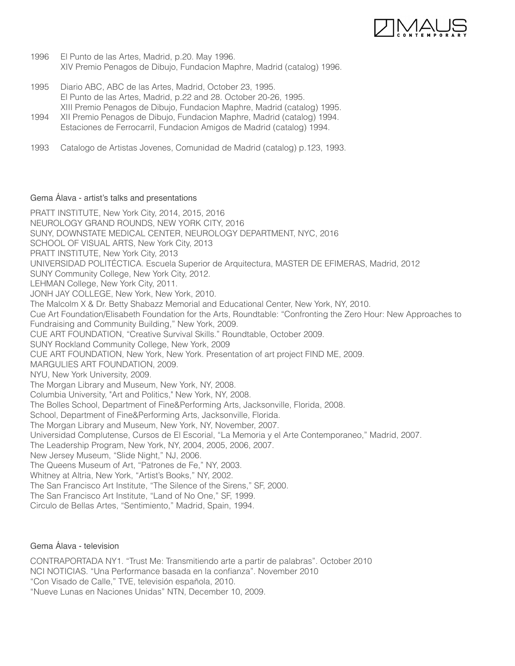

- 1996 El Punto de las Artes, Madrid, p.20. May 1996. XIV Premio Penagos de Dibujo, Fundacion Maphre, Madrid (catalog) 1996.
- 1995 Diario ABC, ABC de las Artes, Madrid, October 23, 1995. El Punto de las Artes, Madrid, p.22 and 28. October 20-26, 1995. XIII Premio Penagos de Dibujo, Fundacion Maphre, Madrid (catalog) 1995.
- 1994 XII Premio Penagos de Dibujo, Fundacion Maphre, Madrid (catalog) 1994. Estaciones de Ferrocarril, Fundacion Amigos de Madrid (catalog) 1994.
- 1993 Catalogo de Artistas Jovenes, Comunidad de Madrid (catalog) p.123, 1993.

# Gema Álava - artist's talks and presentations

PRATT INSTITUTE, New York City, 2014, 2015, 2016 NEUROLOGY GRAND ROUNDS, NEW YORK CITY, 2016 SUNY, DOWNSTATE MEDICAL CENTER, NEUROLOGY DEPARTMENT, NYC, 2016 SCHOOL OF VISUAL ARTS, New York City, 2013 PRATT INSTITUTE, New York City, 2013 UNIVERSIDAD POLITÉCTICA. Escuela Superior de Arquitectura, MASTER DE EFIMERAS, Madrid, 2012 SUNY Community College, New York City, 2012. LEHMAN College, New York City, 2011. JONH JAY COLLEGE, New York, New York, 2010. The Malcolm X & Dr. Betty Shabazz Memorial and Educational Center, New York, NY, 2010. Cue Art Foundation/Elisabeth Foundation for the Arts, Roundtable: "Confronting the Zero Hour: New Approaches to Fundraising and Community Building," New York, 2009. CUE ART FOUNDATION, "Creative Survival Skills." Roundtable, October 2009. SUNY Rockland Community College, New York, 2009 CUE ART FOUNDATION, New York, New York. Presentation of art project FIND ME, 2009. MARGULIES ART FOUNDATION, 2009. NYU, New York University, 2009. The Morgan Library and Museum, New York, NY, 2008. Columbia University, "Art and Politics," New York, NY, 2008. The Bolles School, Department of Fine&Performing Arts, Jacksonville, Florida, 2008. School, Department of Fine&Performing Arts, Jacksonville, Florida. The Morgan Library and Museum, New York, NY, November, 2007. Universidad Complutense, Cursos de El Escorial, "La Memoria y el Arte Contemporaneo," Madrid, 2007. The Leadership Program, New York, NY, 2004, 2005, 2006, 2007. New Jersey Museum, "Slide Night," NJ, 2006. The Queens Museum of Art, "Patrones de Fe," NY, 2003. Whitney at Altria, New York, "Artist's Books," NY, 2002. The San Francisco Art Institute, "The Silence of the Sirens," SF, 2000. The San Francisco Art Institute, "Land of No One," SF, 1999.

Circulo de Bellas Artes, "Sentimiento," Madrid, Spain, 1994.

Gema Álava - television

CONTRAPORTADA NY1. "Trust Me: Transmitiendo arte a partir de palabras". October 2010 NCI NOTICIAS. "Una Performance basada en la confianza". November 2010 "Con Visado de Calle," TVE, televisión española, 2010. "Nueve Lunas en Naciones Unidas" NTN, December 10, 2009.